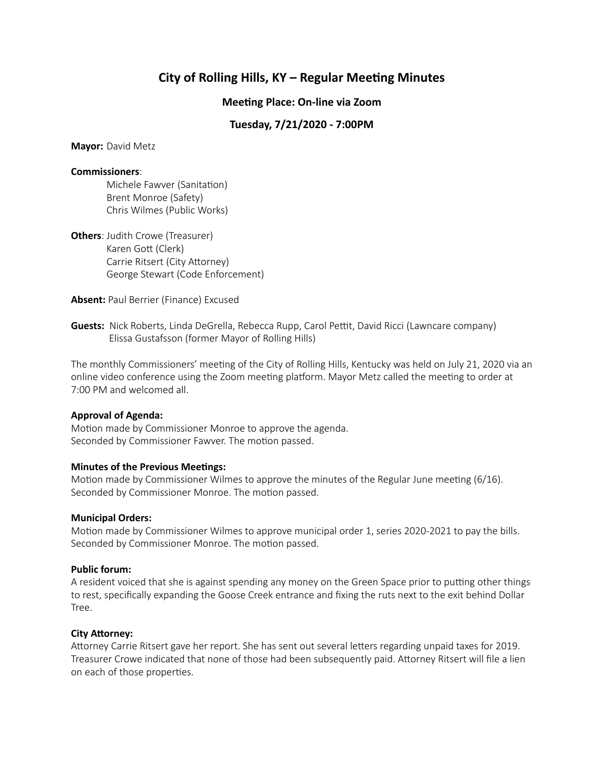# **City of Rolling Hills, KY – Regular Meeting Minutes**

## **Meeting Place: On-line via Zoom**

# **Tuesday, 7/21/2020 - 7:00PM**

**Mayor:** David Metz

#### **Commissioners**:

Michele Fawver (Sanitation) Brent Monroe (Safety) Chris Wilmes (Public Works)

**Others**: Judith Crowe (Treasurer) Karen Gott (Clerk) Carrie Ritsert (City Attorney) George Stewart (Code Enforcement)

**Absent:** Paul Berrier (Finance) Excused

**Guests:** Nick Roberts, Linda DeGrella, Rebecca Rupp, Carol Pettit, David Ricci (Lawncare company) Elissa Gustafsson (former Mayor of Rolling Hills)

The monthly Commissioners' meeting of the City of Rolling Hills, Kentucky was held on July 21, 2020 via an online video conference using the Zoom meeting platform. Mayor Metz called the meeting to order at 7:00 PM and welcomed all.

#### **Approval of Agenda:**

Motion made by Commissioner Monroe to approve the agenda. Seconded by Commissioner Fawver. The motion passed.

#### **Minutes of the Previous Meetings:**

Motion made by Commissioner Wilmes to approve the minutes of the Regular June meeting (6/16). Seconded by Commissioner Monroe. The motion passed.

#### **Municipal Orders:**

Motion made by Commissioner Wilmes to approve municipal order 1, series 2020-2021 to pay the bills. Seconded by Commissioner Monroe. The motion passed.

#### **Public forum:**

A resident voiced that she is against spending any money on the Green Space prior to putting other things to rest, specifically expanding the Goose Creek entrance and fixing the ruts next to the exit behind Dollar Tree.

#### **City Attorney:**

Attorney Carrie Ritsert gave her report. She has sent out several letters regarding unpaid taxes for 2019. Treasurer Crowe indicated that none of those had been subsequently paid. Attorney Ritsert will file a lien on each of those properties.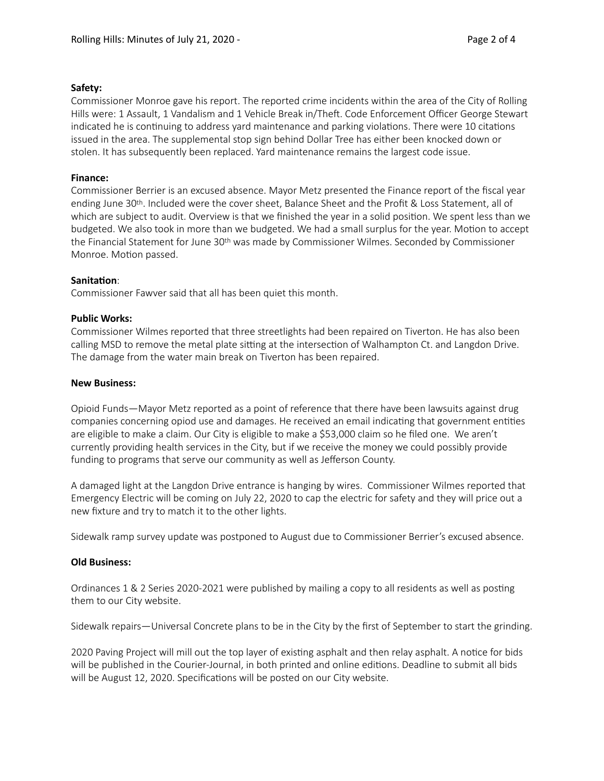#### **Safety:**

Commissioner Monroe gave his report. The reported crime incidents within the area of the City of Rolling Hills were: 1 Assault, 1 Vandalism and 1 Vehicle Break in/Theft. Code Enforcement Officer George Stewart indicated he is continuing to address yard maintenance and parking violations. There were 10 citations issued in the area. The supplemental stop sign behind Dollar Tree has either been knocked down or stolen. It has subsequently been replaced. Yard maintenance remains the largest code issue.

# **Finance:**

Commissioner Berrier is an excused absence. Mayor Metz presented the Finance report of the fiscal year ending June 30th. Included were the cover sheet, Balance Sheet and the Profit & Loss Statement, all of which are subject to audit. Overview is that we finished the year in a solid position. We spent less than we budgeted. We also took in more than we budgeted. We had a small surplus for the year. Motion to accept the Financial Statement for June 30th was made by Commissioner Wilmes. Seconded by Commissioner Monroe. Motion passed.

## **Sanitation:**

Commissioner Fawver said that all has been quiet this month.

## **Public Works:**

Commissioner Wilmes reported that three streetlights had been repaired on Tiverton. He has also been calling MSD to remove the metal plate sitting at the intersection of Walhampton Ct. and Langdon Drive. The damage from the water main break on Tiverton has been repaired.

## **New Business:**

Opioid Funds—Mayor Metz reported as a point of reference that there have been lawsuits against drug companies concerning opiod use and damages. He received an email indicating that government entities are eligible to make a claim. Our City is eligible to make a \$53,000 claim so he filed one. We aren't currently providing health services in the City, but if we receive the money we could possibly provide funding to programs that serve our community as well as Jefferson County.

A damaged light at the Langdon Drive entrance is hanging by wires. Commissioner Wilmes reported that Emergency Electric will be coming on July 22, 2020 to cap the electric for safety and they will price out a new fixture and try to match it to the other lights.

Sidewalk ramp survey update was postponed to August due to Commissioner Berrier's excused absence.

#### **Old Business:**

Ordinances 1 & 2 Series 2020-2021 were published by mailing a copy to all residents as well as posting them to our City website.

Sidewalk repairs—Universal Concrete plans to be in the City by the first of September to start the grinding.

2020 Paving Project will mill out the top layer of existing asphalt and then relay asphalt. A notice for bids will be published in the Courier-Journal, in both printed and online editions. Deadline to submit all bids will be August 12, 2020. Specifications will be posted on our City website.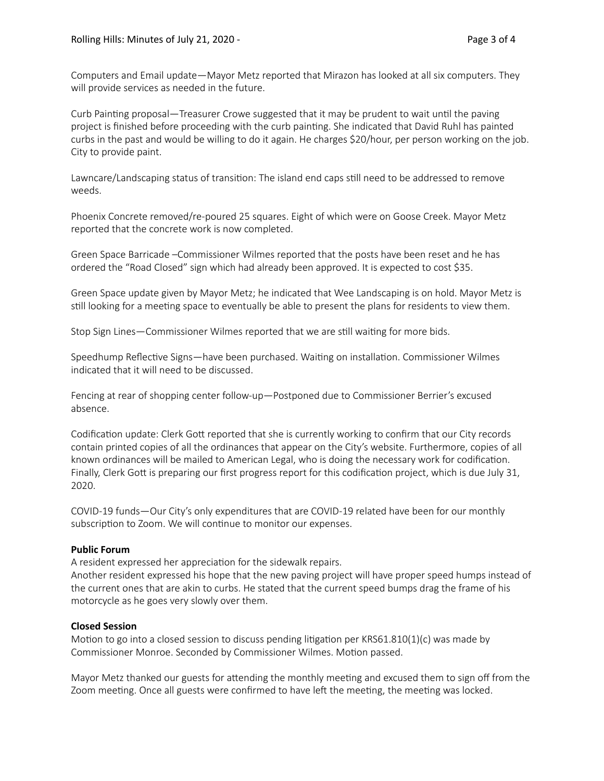Computers and Email update—Mayor Metz reported that Mirazon has looked at all six computers. They will provide services as needed in the future.

Curb Painting proposal—Treasurer Crowe suggested that it may be prudent to wait until the paving project is finished before proceeding with the curb painting. She indicated that David Ruhl has painted curbs in the past and would be willing to do it again. He charges \$20/hour, per person working on the job. City to provide paint.

Lawncare/Landscaping status of transition: The island end caps still need to be addressed to remove weeds.

Phoenix Concrete removed/re-poured 25 squares. Eight of which were on Goose Creek. Mayor Metz reported that the concrete work is now completed.

Green Space Barricade –Commissioner Wilmes reported that the posts have been reset and he has ordered the "Road Closed" sign which had already been approved. It is expected to cost \$35.

Green Space update given by Mayor Metz; he indicated that Wee Landscaping is on hold. Mayor Metz is still looking for a meeting space to eventually be able to present the plans for residents to view them.

Stop Sign Lines—Commissioner Wilmes reported that we are still waiting for more bids.

Speedhump Reflective Signs—have been purchased. Waiting on installation. Commissioner Wilmes indicated that it will need to be discussed.

Fencing at rear of shopping center follow-up—Postponed due to Commissioner Berrier's excused absence.

Codification update: Clerk Gott reported that she is currently working to confirm that our City records contain printed copies of all the ordinances that appear on the City's website. Furthermore, copies of all known ordinances will be mailed to American Legal, who is doing the necessary work for codification. Finally, Clerk Gott is preparing our first progress report for this codification project, which is due July 31, 2020.

COVID-19 funds—Our City's only expenditures that are COVID-19 related have been for our monthly subscription to Zoom. We will continue to monitor our expenses.

#### **Public Forum**

A resident expressed her appreciation for the sidewalk repairs.

Another resident expressed his hope that the new paving project will have proper speed humps instead of the current ones that are akin to curbs. He stated that the current speed bumps drag the frame of his motorcycle as he goes very slowly over them.

#### **Closed Session**

Motion to go into a closed session to discuss pending litigation per KRS61.810(1)(c) was made by Commissioner Monroe. Seconded by Commissioner Wilmes. Motion passed.

Mayor Metz thanked our guests for attending the monthly meeting and excused them to sign off from the Zoom meeting. Once all guests were confirmed to have left the meeting, the meeting was locked.